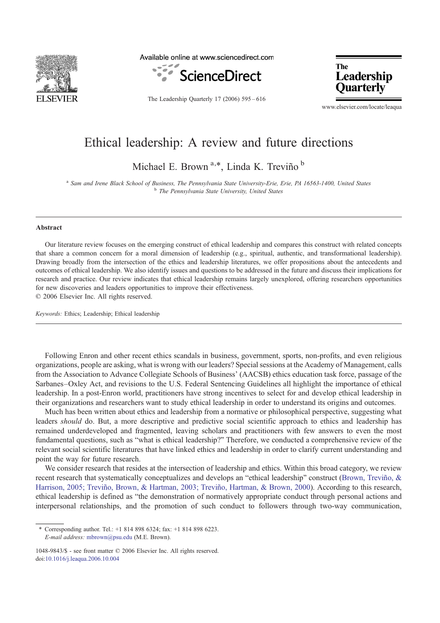

Available online at www.sciencedirect.com



The Leadership Quarterly 17 (2006) 595–616

**The Leadership Ouarterly** 

www.elsevier.com/locate/leaqua

# Ethical leadership: A review and future directions

Michael E. Brown<sup>a,\*</sup>, Linda K. Treviño<sup>b</sup>

<sup>a</sup> Sam and Irene Black School of Business, The Pennsylvania State University-Erie, Erie, PA 16563-1400, United States <sup>b</sup> The Pennsylvania State University, United States

#### Abstract

Our literature review focuses on the emerging construct of ethical leadership and compares this construct with related concepts that share a common concern for a moral dimension of leadership (e.g., spiritual, authentic, and transformational leadership). Drawing broadly from the intersection of the ethics and leadership literatures, we offer propositions about the antecedents and outcomes of ethical leadership. We also identify issues and questions to be addressed in the future and discuss their implications for research and practice. Our review indicates that ethical leadership remains largely unexplored, offering researchers opportunities for new discoveries and leaders opportunities to improve their effectiveness. © 2006 Elsevier Inc. All rights reserved.

Keywords: Ethics; Leadership; Ethical leadership

Following Enron and other recent ethics scandals in business, government, sports, non-profits, and even religious organizations, people are asking, what is wrong with our leaders? Special sessions at the Academy of Management, calls from the Association to Advance Collegiate Schools of Business' (AACSB) ethics education task force, passage of the Sarbanes–Oxley Act, and revisions to the U.S. Federal Sentencing Guidelines all highlight the importance of ethical leadership. In a post-Enron world, practitioners have strong incentives to select for and develop ethical leadership in their organizations and researchers want to study ethical leadership in order to understand its origins and outcomes.

Much has been written about ethics and leadership from a normative or philosophical perspective, suggesting what leaders should do. But, a more descriptive and predictive social scientific approach to ethics and leadership has remained underdeveloped and fragmented, leaving scholars and practitioners with few answers to even the most fundamental questions, such as "what is ethical leadership?" Therefore, we conducted a comprehensive review of the relevant social scientific literatures that have linked ethics and leadership in order to clarify current understanding and point the way for future research.

We consider research that resides at the intersection of leadership and ethics. Within this broad category, we review recent research that systematically conceptualizes and develops an "ethical leadership" construct (Brown, Treviño, & Harrison, 2005; Treviño, Brown, & Hartman, 2003; Treviño, Hartman, & Brown, 2000). According to this research, ethical leadership is defined as "the demonstration of normatively appropriate conduct through personal actions and interpersonal relationships, and the promotion of such conduct to followers through two-way communication,

<sup>⁎</sup> Corresponding author. Tel.: +1 814 898 6324; fax: +1 814 898 6223. E-mail address: mbrown@psu.edu (M.E. Brown).

<sup>1048-9843/\$ -</sup> see front matter © 2006 Elsevier Inc. All rights reserved. doi:10.1016/j.leaqua.2006.10.004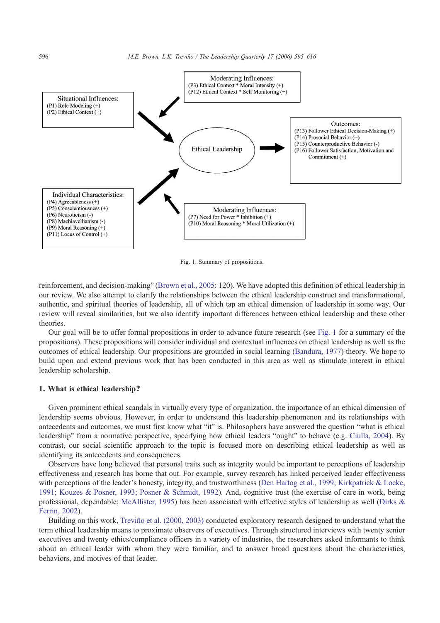

Fig. 1. Summary of propositions.

reinforcement, and decision-making" (Brown et al., 2005: 120). We have adopted this definition of ethical leadership in our review. We also attempt to clarify the relationships between the ethical leadership construct and transformational, authentic, and spiritual theories of leadership, all of which tap an ethical dimension of leadership in some way. Our review will reveal similarities, but we also identify important differences between ethical leadership and these other theories.

Our goal will be to offer formal propositions in order to advance future research (see Fig. 1 for a summary of the propositions). These propositions will consider individual and contextual influences on ethical leadership as well as the outcomes of ethical leadership. Our propositions are grounded in social learning (Bandura, 1977) theory. We hope to build upon and extend previous work that has been conducted in this area as well as stimulate interest in ethical leadership scholarship.

### 1. What is ethical leadership?

Given prominent ethical scandals in virtually every type of organization, the importance of an ethical dimension of leadership seems obvious. However, in order to understand this leadership phenomenon and its relationships with antecedents and outcomes, we must first know what "it" is. Philosophers have answered the question "what is ethical leadership" from a normative perspective, specifying how ethical leaders "ought" to behave (e.g. Ciulla, 2004). By contrast, our social scientific approach to the topic is focused more on describing ethical leadership as well as identifying its antecedents and consequences.

Observers have long believed that personal traits such as integrity would be important to perceptions of leadership effectiveness and research has borne that out. For example, survey research has linked perceived leader effectiveness with perceptions of the leader's honesty, integrity, and trustworthiness (Den Hartog et al., 1999; Kirkpatrick & Locke, 1991; Kouzes & Posner, 1993; Posner & Schmidt, 1992). And, cognitive trust (the exercise of care in work, being professional, dependable; McAllister, 1995) has been associated with effective styles of leadership as well (Dirks & Ferrin, 2002).

Building on this work, Treviño et al. (2000, 2003) conducted exploratory research designed to understand what the term ethical leadership means to proximate observers of executives. Through structured interviews with twenty senior executives and twenty ethics/compliance officers in a variety of industries, the researchers asked informants to think about an ethical leader with whom they were familiar, and to answer broad questions about the characteristics, behaviors, and motives of that leader.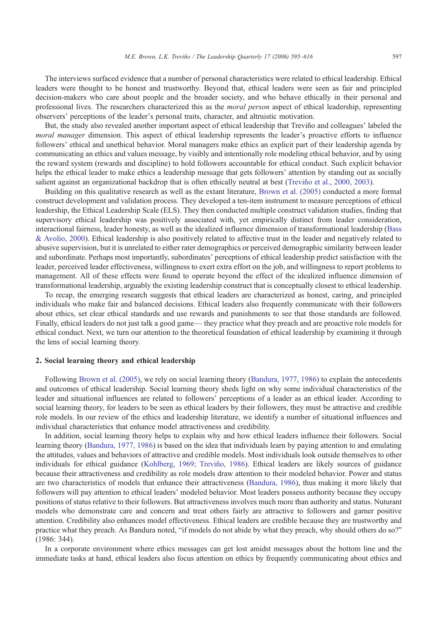The interviews surfaced evidence that a number of personal characteristics were related to ethical leadership. Ethical leaders were thought to be honest and trustworthy. Beyond that, ethical leaders were seen as fair and principled decision-makers who care about people and the broader society, and who behave ethically in their personal and professional lives. The researchers characterized this as the moral person aspect of ethical leadership, representing observers' perceptions of the leader's personal traits, character, and altruistic motivation.

But, the study also revealed another important aspect of ethical leadership that Treviño and colleagues' labeled the moral manager dimension. This aspect of ethical leadership represents the leader's proactive efforts to influence followers' ethical and unethical behavior. Moral managers make ethics an explicit part of their leadership agenda by communicating an ethics and values message, by visibly and intentionally role modeling ethical behavior, and by using the reward system (rewards and discipline) to hold followers accountable for ethical conduct. Such explicit behavior helps the ethical leader to make ethics a leadership message that gets followers' attention by standing out as socially salient against an organizational backdrop that is often ethically neutral at best (Treviño et al., 2000, 2003).

Building on this qualitative research as well as the extant literature, Brown et al. (2005) conducted a more formal construct development and validation process. They developed a ten-item instrument to measure perceptions of ethical leadership, the Ethical Leadership Scale (ELS). They then conducted multiple construct validation studies, finding that supervisory ethical leadership was positively associated with, yet empirically distinct from leader consideration, interactional fairness, leader honesty, as well as the idealized influence dimension of transformational leadership (Bass & Avolio, 2000). Ethical leadership is also positively related to affective trust in the leader and negatively related to abusive supervision, but it is unrelated to either rater demographics or perceived demographic similarity between leader and subordinate. Perhaps most importantly, subordinates' perceptions of ethical leadership predict satisfaction with the leader, perceived leader effectiveness, willingness to exert extra effort on the job, and willingness to report problems to management. All of these effects were found to operate beyond the effect of the idealized influence dimension of transformational leadership, arguably the existing leadership construct that is conceptually closest to ethical leadership.

To recap, the emerging research suggests that ethical leaders are characterized as honest, caring, and principled individuals who make fair and balanced decisions. Ethical leaders also frequently communicate with their followers about ethics, set clear ethical standards and use rewards and punishments to see that those standards are followed. Finally, ethical leaders do not just talk a good game— they practice what they preach and are proactive role models for ethical conduct. Next, we turn our attention to the theoretical foundation of ethical leadership by examining it through the lens of social learning theory.

# 2. Social learning theory and ethical leadership

Following Brown et al. (2005), we rely on social learning theory (Bandura, 1977, 1986) to explain the antecedents and outcomes of ethical leadership. Social learning theory sheds light on why some individual characteristics of the leader and situational influences are related to followers' perceptions of a leader as an ethical leader. According to social learning theory, for leaders to be seen as ethical leaders by their followers, they must be attractive and credible role models. In our review of the ethics and leadership literature, we identify a number of situational influences and individual characteristics that enhance model attractiveness and credibility.

In addition, social learning theory helps to explain why and how ethical leaders influence their followers. Social learning theory (Bandura, 1977, 1986) is based on the idea that individuals learn by paying attention to and emulating the attitudes, values and behaviors of attractive and credible models. Most individuals look outside themselves to other individuals for ethical guidance (Kohlberg, 1969; Treviño, 1986). Ethical leaders are likely sources of guidance because their attractiveness and credibility as role models draw attention to their modeled behavior. Power and status are two characteristics of models that enhance their attractiveness (Bandura, 1986), thus making it more likely that followers will pay attention to ethical leaders' modeled behavior. Most leaders possess authority because they occupy positions of status relative to their followers. But attractiveness involves much more than authority and status. Nuturant models who demonstrate care and concern and treat others fairly are attractive to followers and garner positive attention. Credibility also enhances model effectiveness. Ethical leaders are credible because they are trustworthy and practice what they preach. As Bandura noted, "if models do not abide by what they preach, why should others do so?" (1986: 344).

In a corporate environment where ethics messages can get lost amidst messages about the bottom line and the immediate tasks at hand, ethical leaders also focus attention on ethics by frequently communicating about ethics and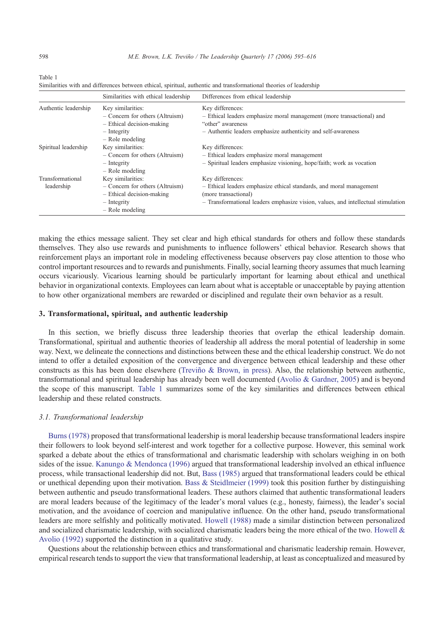| Similarities with and differences between ethical, spiritual, authentic and transformational theories of leadership |  |  |  |  |
|---------------------------------------------------------------------------------------------------------------------|--|--|--|--|
|                                                                                                                     |  |  |  |  |
|                                                                                                                     |  |  |  |  |

|                      | Similarities with ethical leadership | Differences from ethical leadership                                               |  |  |  |
|----------------------|--------------------------------------|-----------------------------------------------------------------------------------|--|--|--|
| Authentic leadership | Key similarities:                    | Key differences:                                                                  |  |  |  |
|                      | $-$ Concern for others (Altruism)    | - Ethical leaders emphasize moral management (more transactional) and             |  |  |  |
|                      | $-$ Ethical decision-making          | "other" awareness                                                                 |  |  |  |
|                      | – Integrity                          | - Authentic leaders emphasize authenticity and self-awareness                     |  |  |  |
|                      | $-$ Role modeling                    |                                                                                   |  |  |  |
| Spiritual leadership | Key similarities:                    | Key differences:                                                                  |  |  |  |
|                      | $-$ Concern for others (Altruism)    | - Ethical leaders emphasize moral management                                      |  |  |  |
|                      | - Integrity                          | - Spiritual leaders emphasize visioning, hope/faith; work as vocation             |  |  |  |
|                      | $-$ Role modeling                    |                                                                                   |  |  |  |
| Transformational     | Key similarities:                    | Key differences:                                                                  |  |  |  |
| leadership           | $-$ Concern for others (Altruism)    | - Ethical leaders emphasize ethical standards, and moral management               |  |  |  |
|                      | - Ethical decision-making            | (more transactional)                                                              |  |  |  |
|                      | – Integrity                          | - Transformational leaders emphasize vision, values, and intellectual stimulation |  |  |  |
|                      | - Role modeling                      |                                                                                   |  |  |  |

making the ethics message salient. They set clear and high ethical standards for others and follow these standards themselves. They also use rewards and punishments to influence followers' ethical behavior. Research shows that reinforcement plays an important role in modeling effectiveness because observers pay close attention to those who control important resources and to rewards and punishments. Finally, social learning theory assumes that much learning occurs vicariously. Vicarious learning should be particularly important for learning about ethical and unethical behavior in organizational contexts. Employees can learn about what is acceptable or unacceptable by paying attention to how other organizational members are rewarded or disciplined and regulate their own behavior as a result.

# 3. Transformational, spiritual, and authentic leadership

In this section, we briefly discuss three leadership theories that overlap the ethical leadership domain. Transformational, spiritual and authentic theories of leadership all address the moral potential of leadership in some way. Next, we delineate the connections and distinctions between these and the ethical leadership construct. We do not intend to offer a detailed exposition of the convergence and divergence between ethical leadership and these other constructs as this has been done elsewhere (Treviño & Brown, in press). Also, the relationship between authentic, transformational and spiritual leadership has already been well documented (Avolio & Gardner, 2005) and is beyond the scope of this manuscript. Table 1 summarizes some of the key similarities and differences between ethical leadership and these related constructs.

# 3.1. Transformational leadership

Burns (1978) proposed that transformational leadership is moral leadership because transformational leaders inspire their followers to look beyond self-interest and work together for a collective purpose. However, this seminal work sparked a debate about the ethics of transformational and charismatic leadership with scholars weighing in on both sides of the issue. Kanungo & Mendonca (1996) argued that transformational leadership involved an ethical influence process, while transactional leadership did not. But, Bass (1985) argued that transformational leaders could be ethical or unethical depending upon their motivation. Bass & Steidlmeier (1999) took this position further by distinguishing between authentic and pseudo transformational leaders. These authors claimed that authentic transformational leaders are moral leaders because of the legitimacy of the leader's moral values (e.g., honesty, fairness), the leader's social motivation, and the avoidance of coercion and manipulative influence. On the other hand, pseudo transformational leaders are more selfishly and politically motivated. Howell (1988) made a similar distinction between personalized and socialized charismatic leadership, with socialized charismatic leaders being the more ethical of the two. Howell & Avolio (1992) supported the distinction in a qualitative study.

Questions about the relationship between ethics and transformational and charismatic leadership remain. However, empirical research tends to support the view that transformational leadership, at least as conceptualized and measured by

Table 1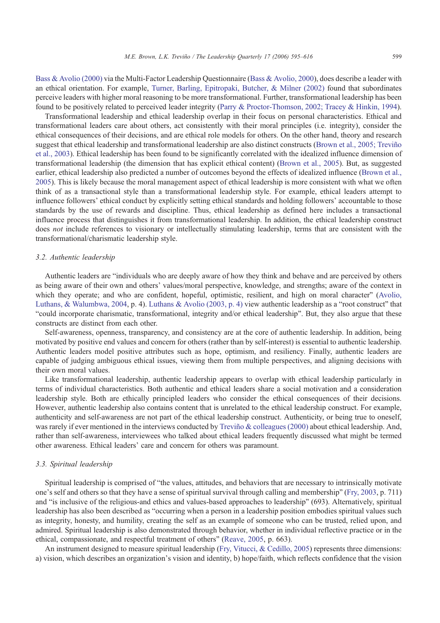Bass & Avolio (2000) via the Multi-Factor Leadership Questionnaire (Bass & Avolio, 2000), does describe a leader with an ethical orientation. For example, Turner, Barling, Epitropaki, Butcher, & Milner (2002) found that subordinates perceive leaders with higher moral reasoning to be more transformational. Further, transformational leadership has been found to be positively related to perceived leader integrity (Parry & Proctor-Thomson, 2002; Tracey & Hinkin, 1994).

Transformational leadership and ethical leadership overlap in their focus on personal characteristics. Ethical and transformational leaders care about others, act consistently with their moral principles (i.e. integrity), consider the ethical consequences of their decisions, and are ethical role models for others. On the other hand, theory and research suggest that ethical leadership and transformational leadership are also distinct constructs (Brown et al., 2005; Treviño et al., 2003). Ethical leadership has been found to be significantly correlated with the idealized influence dimension of transformational leadership (the dimension that has explicit ethical content) (Brown et al., 2005). But, as suggested earlier, ethical leadership also predicted a number of outcomes beyond the effects of idealized influence (Brown et al., 2005). This is likely because the moral management aspect of ethical leadership is more consistent with what we often think of as a transactional style than a transformational leadership style. For example, ethical leaders attempt to influence followers' ethical conduct by explicitly setting ethical standards and holding followers' accountable to those standards by the use of rewards and discipline. Thus, ethical leadership as defined here includes a transactional influence process that distinguishes it from transformational leadership. In addition, the ethical leadership construct does not include references to visionary or intellectually stimulating leadership, terms that are consistent with the transformational/charismatic leadership style.

### 3.2. Authentic leadership

Authentic leaders are "individuals who are deeply aware of how they think and behave and are perceived by others as being aware of their own and others' values/moral perspective, knowledge, and strengths; aware of the context in which they operate; and who are confident, hopeful, optimistic, resilient, and high on moral character" (Avolio, Luthans, & Walumbwa, 2004, p. 4). Luthans & Avolio (2003, p. 4) view authentic leadership as a "root construct" that "could incorporate charismatic, transformational, integrity and/or ethical leadership". But, they also argue that these constructs are distinct from each other.

Self-awareness, openness, transparency, and consistency are at the core of authentic leadership. In addition, being motivated by positive end values and concern for others (rather than by self-interest) is essential to authentic leadership. Authentic leaders model positive attributes such as hope, optimism, and resiliency. Finally, authentic leaders are capable of judging ambiguous ethical issues, viewing them from multiple perspectives, and aligning decisions with their own moral values.

Like transformational leadership, authentic leadership appears to overlap with ethical leadership particularly in terms of individual characteristics. Both authentic and ethical leaders share a social motivation and a consideration leadership style. Both are ethically principled leaders who consider the ethical consequences of their decisions. However, authentic leadership also contains content that is unrelated to the ethical leadership construct. For example, authenticity and self-awareness are not part of the ethical leadership construct. Authenticity, or being true to oneself, was rarely if ever mentioned in the interviews conducted by Treviño & colleagues (2000) about ethical leadership. And, rather than self-awareness, interviewees who talked about ethical leaders frequently discussed what might be termed other awareness. Ethical leaders' care and concern for others was paramount.

### 3.3. Spiritual leadership

Spiritual leadership is comprised of "the values, attitudes, and behaviors that are necessary to intrinsically motivate one's self and others so that they have a sense of spiritual survival through calling and membership" (Fry, 2003, p. 711) and "is inclusive of the religious-and ethics and values-based approaches to leadership" (693). Alternatively, spiritual leadership has also been described as "occurring when a person in a leadership position embodies spiritual values such as integrity, honesty, and humility, creating the self as an example of someone who can be trusted, relied upon, and admired. Spiritual leadership is also demonstrated through behavior, whether in individual reflective practice or in the ethical, compassionate, and respectful treatment of others" (Reave, 2005, p. 663).

An instrument designed to measure spiritual leadership (Fry, Vitucci, & Cedillo, 2005) represents three dimensions: a) vision, which describes an organization's vision and identity, b) hope/faith, which reflects confidence that the vision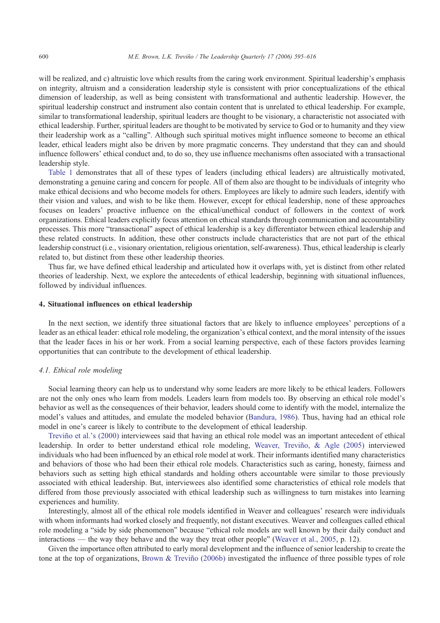will be realized, and c) altruistic love which results from the caring work environment. Spiritual leadership's emphasis on integrity, altruism and a consideration leadership style is consistent with prior conceptualizations of the ethical dimension of leadership, as well as being consistent with transformational and authentic leadership. However, the spiritual leadership construct and instrument also contain content that is unrelated to ethical leadership. For example, similar to transformational leadership, spiritual leaders are thought to be visionary, a characteristic not associated with ethical leadership. Further, spiritual leaders are thought to be motivated by service to God or to humanity and they view their leadership work as a "calling". Although such spiritual motives might influence someone to become an ethical leader, ethical leaders might also be driven by more pragmatic concerns. They understand that they can and should influence followers' ethical conduct and, to do so, they use influence mechanisms often associated with a transactional leadership style.

Table 1 demonstrates that all of these types of leaders (including ethical leaders) are altruistically motivated, demonstrating a genuine caring and concern for people. All of them also are thought to be individuals of integrity who make ethical decisions and who become models for others. Employees are likely to admire such leaders, identify with their vision and values, and wish to be like them. However, except for ethical leadership, none of these approaches focuses on leaders' proactive influence on the ethical/unethical conduct of followers in the context of work organizations. Ethical leaders explicitly focus attention on ethical standards through communication and accountability processes. This more "transactional" aspect of ethical leadership is a key differentiator between ethical leadership and these related constructs. In addition, these other constructs include characteristics that are not part of the ethical leadership construct (i.e., visionary orientation, religious orientation, self-awareness). Thus, ethical leadership is clearly related to, but distinct from these other leadership theories.

Thus far, we have defined ethical leadership and articulated how it overlaps with, yet is distinct from other related theories of leadership. Next, we explore the antecedents of ethical leadership, beginning with situational influences, followed by individual influences.

# 4. Situational influences on ethical leadership

In the next section, we identify three situational factors that are likely to influence employees' perceptions of a leader as an ethical leader: ethical role modeling, the organization's ethical context, and the moral intensity of the issues that the leader faces in his or her work. From a social learning perspective, each of these factors provides learning opportunities that can contribute to the development of ethical leadership.

# 4.1. Ethical role modeling

Social learning theory can help us to understand why some leaders are more likely to be ethical leaders. Followers are not the only ones who learn from models. Leaders learn from models too. By observing an ethical role model's behavior as well as the consequences of their behavior, leaders should come to identify with the model, internalize the model's values and attitudes, and emulate the modeled behavior (Bandura, 1986). Thus, having had an ethical role model in one's career is likely to contribute to the development of ethical leadership.

Treviño et al.'s (2000) interviewees said that having an ethical role model was an important antecedent of ethical leadership. In order to better understand ethical role modeling, Weaver, Treviño, & Agle (2005) interviewed individuals who had been influenced by an ethical role model at work. Their informants identified many characteristics and behaviors of those who had been their ethical role models. Characteristics such as caring, honesty, fairness and behaviors such as setting high ethical standards and holding others accountable were similar to those previously associated with ethical leadership. But, interviewees also identified some characteristics of ethical role models that differed from those previously associated with ethical leadership such as willingness to turn mistakes into learning experiences and humility.

Interestingly, almost all of the ethical role models identified in Weaver and colleagues' research were individuals with whom informants had worked closely and frequently, not distant executives. Weaver and colleagues called ethical role modeling a "side by side phenomenon" because "ethical role models are well known by their daily conduct and interactions — the way they behave and the way they treat other people" (Weaver et al., 2005, p. 12).

Given the importance often attributed to early moral development and the influence of senior leadership to create the tone at the top of organizations, Brown & Treviño (2006b) investigated the influence of three possible types of role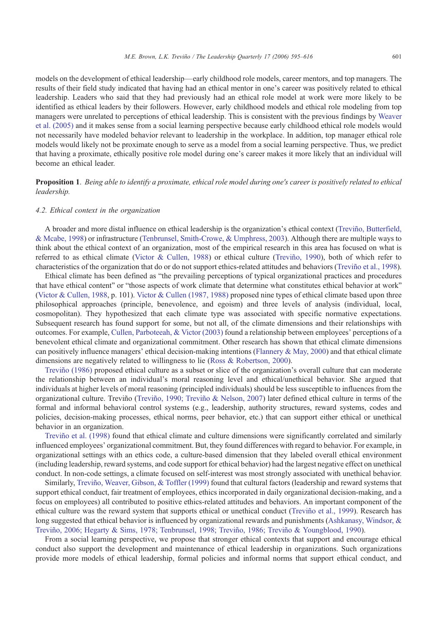models on the development of ethical leadership—early childhood role models, career mentors, and top managers. The results of their field study indicated that having had an ethical mentor in one's career was positively related to ethical leadership. Leaders who said that they had previously had an ethical role model at work were more likely to be identified as ethical leaders by their followers. However, early childhood models and ethical role modeling from top managers were unrelated to perceptions of ethical leadership. This is consistent with the previous findings by Weaver et al. (2005) and it makes sense from a social learning perspective because early childhood ethical role models would not necessarily have modeled behavior relevant to leadership in the workplace. In addition, top manager ethical role models would likely not be proximate enough to serve as a model from a social learning perspective. Thus, we predict that having a proximate, ethically positive role model during one's career makes it more likely that an individual will become an ethical leader.

Proposition 1. Being able to identify a proximate, ethical role model during one's career is positively related to ethical leadership.

### 4.2. Ethical context in the organization

A broader and more distal influence on ethical leadership is the organization's ethical context (Treviño, Butterfield, & Mcabe, 1998) or infrastructure (Tenbrunsel, Smith-Crowe, & Umphress, 2003). Although there are multiple ways to think about the ethical context of an organization, most of the empirical research in this area has focused on what is referred to as ethical climate (Victor & Cullen, 1988) or ethical culture (Treviño, 1990), both of which refer to characteristics of the organization that do or do not support ethics-related attitudes and behaviors (Treviño et al., 1998).

Ethical climate has been defined as "the prevailing perceptions of typical organizational practices and procedures that have ethical content" or "those aspects of work climate that determine what constitutes ethical behavior at work" (Victor & Cullen, 1988, p. 101). Victor & Cullen (1987, 1988) proposed nine types of ethical climate based upon three philosophical approaches (principle, benevolence, and egoism) and three levels of analysis (individual, local, cosmopolitan). They hypothesized that each climate type was associated with specific normative expectations. Subsequent research has found support for some, but not all, of the climate dimensions and their relationships with outcomes. For example, Cullen, Parboteeah, & Victor (2003) found a relationship between employees' perceptions of a benevolent ethical climate and organizational commitment. Other research has shown that ethical climate dimensions can positively influence managers' ethical decision-making intentions (Flannery & May, 2000) and that ethical climate dimensions are negatively related to willingness to lie (Ross & Robertson, 2000).

Treviño (1986) proposed ethical culture as a subset or slice of the organization's overall culture that can moderate the relationship between an individual's moral reasoning level and ethical/unethical behavior. She argued that individuals at higher levels of moral reasoning (principled individuals) should be less susceptible to influences from the organizational culture. Treviño (Treviño, 1990; Treviño & Nelson, 2007) later defined ethical culture in terms of the formal and informal behavioral control systems (e.g., leadership, authority structures, reward systems, codes and policies, decision-making processes, ethical norms, peer behavior, etc.) that can support either ethical or unethical behavior in an organization.

Treviño et al. (1998) found that ethical climate and culture dimensions were significantly correlated and similarly influenced employees' organizational commitment. But, they found differences with regard to behavior. For example, in organizational settings with an ethics code, a culture-based dimension that they labeled overall ethical environment (including leadership, reward systems, and code support for ethical behavior) had the largest negative effect on unethical conduct. In non-code settings, a climate focused on self-interest was most strongly associated with unethical behavior.

Similarly, Treviño, Weaver, Gibson, & Toffler (1999) found that cultural factors (leadership and reward systems that support ethical conduct, fair treatment of employees, ethics incorporated in daily organizational decision-making, and a focus on employees) all contributed to positive ethics-related attitudes and behaviors. An important component of the ethical culture was the reward system that supports ethical or unethical conduct (Treviño et al., 1999). Research has long suggested that ethical behavior is influenced by organizational rewards and punishments (Ashkanasy, Windsor, & Treviño, 2006; Hegarty & Sims, 1978; Tenbrunsel, 1998; Treviño, 1986; Treviño & Youngblood, 1990).

From a social learning perspective, we propose that stronger ethical contexts that support and encourage ethical conduct also support the development and maintenance of ethical leadership in organizations. Such organizations provide more models of ethical leadership, formal policies and informal norms that support ethical conduct, and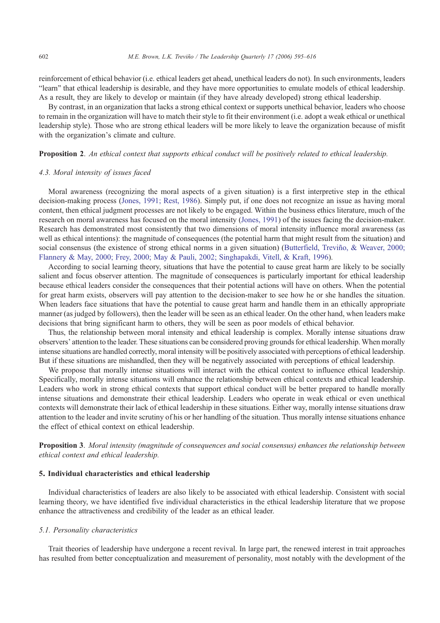reinforcement of ethical behavior (i.e. ethical leaders get ahead, unethical leaders do not). In such environments, leaders "learn" that ethical leadership is desirable, and they have more opportunities to emulate models of ethical leadership. As a result, they are likely to develop or maintain (if they have already developed) strong ethical leadership.

By contrast, in an organization that lacks a strong ethical context or supports unethical behavior, leaders who choose to remain in the organization will have to match their style to fit their environment (i.e. adopt a weak ethical or unethical leadership style). Those who are strong ethical leaders will be more likely to leave the organization because of misfit with the organization's climate and culture.

# Proposition 2. An ethical context that supports ethical conduct will be positively related to ethical leadership.

### 4.3. Moral intensity of issues faced

Moral awareness (recognizing the moral aspects of a given situation) is a first interpretive step in the ethical decision-making process (Jones, 1991; Rest, 1986). Simply put, if one does not recognize an issue as having moral content, then ethical judgment processes are not likely to be engaged. Within the business ethics literature, much of the research on moral awareness has focused on the moral intensity (Jones, 1991) of the issues facing the decision-maker. Research has demonstrated most consistently that two dimensions of moral intensity influence moral awareness (as well as ethical intentions): the magnitude of consequences (the potential harm that might result from the situation) and social consensus (the existence of strong ethical norms in a given situation) (Butterfield, Treviño, & Weaver, 2000; Flannery & May, 2000; Frey, 2000; May & Pauli, 2002; Singhapakdi, Vitell, & Kraft, 1996).

According to social learning theory, situations that have the potential to cause great harm are likely to be socially salient and focus observer attention. The magnitude of consequences is particularly important for ethical leadership because ethical leaders consider the consequences that their potential actions will have on others. When the potential for great harm exists, observers will pay attention to the decision-maker to see how he or she handles the situation. When leaders face situations that have the potential to cause great harm and handle them in an ethically appropriate manner (as judged by followers), then the leader will be seen as an ethical leader. On the other hand, when leaders make decisions that bring significant harm to others, they will be seen as poor models of ethical behavior.

Thus, the relationship between moral intensity and ethical leadership is complex. Morally intense situations draw observers' attention to the leader. These situations can be considered proving grounds for ethical leadership. When morally intense situations are handled correctly, moral intensity will be positively associated with perceptions of ethical leadership. But if these situations are mishandled, then they will be negatively associated with perceptions of ethical leadership.

We propose that morally intense situations will interact with the ethical context to influence ethical leadership. Specifically, morally intense situations will enhance the relationship between ethical contexts and ethical leadership. Leaders who work in strong ethical contexts that support ethical conduct will be better prepared to handle morally intense situations and demonstrate their ethical leadership. Leaders who operate in weak ethical or even unethical contexts will demonstrate their lack of ethical leadership in these situations. Either way, morally intense situations draw attention to the leader and invite scrutiny of his or her handling of the situation. Thus morally intense situations enhance the effect of ethical context on ethical leadership.

Proposition 3. Moral intensity (magnitude of consequences and social consensus) enhances the relationship between ethical context and ethical leadership.

# 5. Individual characteristics and ethical leadership

Individual characteristics of leaders are also likely to be associated with ethical leadership. Consistent with social learning theory, we have identified five individual characteristics in the ethical leadership literature that we propose enhance the attractiveness and credibility of the leader as an ethical leader.

# 5.1. Personality characteristics

Trait theories of leadership have undergone a recent revival. In large part, the renewed interest in trait approaches has resulted from better conceptualization and measurement of personality, most notably with the development of the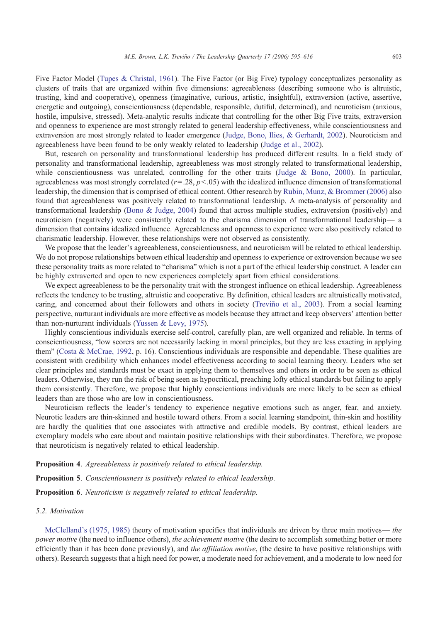Five Factor Model (Tupes & Christal, 1961). The Five Factor (or Big Five) typology conceptualizes personality as clusters of traits that are organized within five dimensions: agreeableness (describing someone who is altruistic, trusting, kind and cooperative), openness (imaginative, curious, artistic, insightful), extraversion (active, assertive, energetic and outgoing), conscientiousness (dependable, responsible, dutiful, determined), and neuroticism (anxious, hostile, impulsive, stressed). Meta-analytic results indicate that controlling for the other Big Five traits, extraversion and openness to experience are most strongly related to general leadership effectiveness, while conscientiousness and extraversion are most strongly related to leader emergence (Judge, Bono, Ilies, & Gerhardt, 2002). Neuroticism and agreeableness have been found to be only weakly related to leadership (Judge et al., 2002).

But, research on personality and transformational leadership has produced different results. In a field study of personality and transformational leadership, agreeableness was most strongly related to transformational leadership, while conscientiousness was unrelated, controlling for the other traits (Judge & Bono, 2000). In particular, agreeableness was most strongly correlated ( $r = .28$ ,  $p < .05$ ) with the idealized influence dimension of transformational leadership, the dimension that is comprised of ethical content. Other research by Rubin, Munz, & Brommer (2006) also found that agreeableness was positively related to transformational leadership. A meta-analysis of personality and transformational leadership (Bono & Judge, 2004) found that across multiple studies, extraversion (positively) and neuroticism (negatively) were consistently related to the charisma dimension of transformational leadership— a dimension that contains idealized influence. Agreeableness and openness to experience were also positively related to charismatic leadership. However, these relationships were not observed as consistently.

We propose that the leader's agreeableness, conscientiousness, and neuroticism will be related to ethical leadership. We do not propose relationships between ethical leadership and openness to experience or extroversion because we see these personality traits as more related to "charisma" which is not a part of the ethical leadership construct. A leader can be highly extraverted and open to new experiences completely apart from ethical considerations.

We expect agreeableness to be the personality trait with the strongest influence on ethical leadership. Agreeableness reflects the tendency to be trusting, altruistic and cooperative. By definition, ethical leaders are altruistically motivated, caring, and concerned about their followers and others in society (Treviño et al., 2003). From a social learning perspective, nurturant individuals are more effective as models because they attract and keep observers' attention better than non-nurturant individuals (Yussen & Levy, 1975).

Highly conscientious individuals exercise self-control, carefully plan, are well organized and reliable. In terms of conscientiousness, "low scorers are not necessarily lacking in moral principles, but they are less exacting in applying them" (Costa & McCrae, 1992, p. 16). Conscientious individuals are responsible and dependable. These qualities are consistent with credibility which enhances model effectiveness according to social learning theory. Leaders who set clear principles and standards must be exact in applying them to themselves and others in order to be seen as ethical leaders. Otherwise, they run the risk of being seen as hypocritical, preaching lofty ethical standards but failing to apply them consistently. Therefore, we propose that highly conscientious individuals are more likely to be seen as ethical leaders than are those who are low in conscientiousness.

Neuroticism reflects the leader's tendency to experience negative emotions such as anger, fear, and anxiety. Neurotic leaders are thin-skinned and hostile toward others. From a social learning standpoint, thin-skin and hostility are hardly the qualities that one associates with attractive and credible models. By contrast, ethical leaders are exemplary models who care about and maintain positive relationships with their subordinates. Therefore, we propose that neuroticism is negatively related to ethical leadership.

#### Proposition 4. Agreeableness is positively related to ethical leadership.

### Proposition 5. Conscientiousness is positively related to ethical leadership.

Proposition 6. Neuroticism is negatively related to ethical leadership.

#### 5.2. Motivation

McClelland's (1975, 1985) theory of motivation specifies that individuals are driven by three main motives— the power motive (the need to influence others), the achievement motive (the desire to accomplish something better or more efficiently than it has been done previously), and the affiliation motive, (the desire to have positive relationships with others). Research suggests that a high need for power, a moderate need for achievement, and a moderate to low need for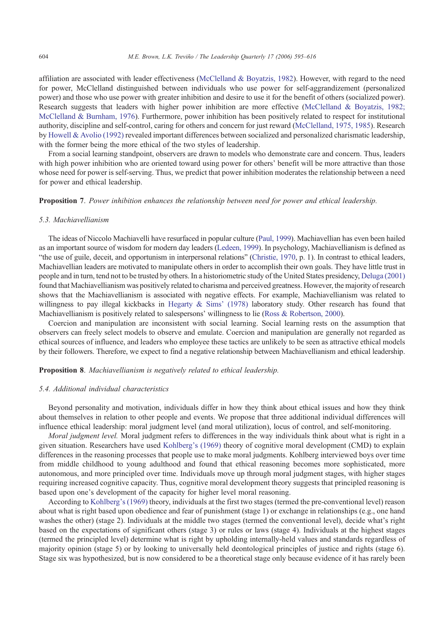affiliation are associated with leader effectiveness (McClelland & Boyatzis, 1982). However, with regard to the need for power, McClelland distinguished between individuals who use power for self-aggrandizement (personalized power) and those who use power with greater inhibition and desire to use it for the benefit of others (socialized power). Research suggests that leaders with higher power inhibition are more effective (McClelland & Boyatzis, 1982; McClelland & Burnham, 1976). Furthermore, power inhibition has been positively related to respect for institutional authority, discipline and self-control, caring for others and concern for just reward (McClelland, 1975, 1985). Research by Howell & Avolio (1992) revealed important differences between socialized and personalized charismatic leadership, with the former being the more ethical of the two styles of leadership.

From a social learning standpoint, observers are drawn to models who demonstrate care and concern. Thus, leaders with high power inhibition who are oriented toward using power for others' benefit will be more attractive than those whose need for power is self-serving. Thus, we predict that power inhibition moderates the relationship between a need for power and ethical leadership.

Proposition 7. Power inhibition enhances the relationship between need for power and ethical leadership.

#### 5.3. Machiavellianism

The ideas of Niccolo Machiavelli have resurfaced in popular culture (Paul, 1999). Machiavellian has even been hailed as an important source of wisdom for modern day leaders (Ledeen, 1999). In psychology, Machiavellianism is defined as "the use of guile, deceit, and opportunism in interpersonal relations" (Christie, 1970, p. 1). In contrast to ethical leaders, Machiavellian leaders are motivated to manipulate others in order to accomplish their own goals. They have little trust in people and in turn, tend not to be trusted by others. In a historiometric study of the United States presidency, Deluga (2001) found that Machiavellianism was positively related to charisma and perceived greatness. However, the majority of research shows that the Machiavellianism is associated with negative effects. For example, Machiavellianism was related to willingness to pay illegal kickbacks in Hegarty & Sims' (1978) laboratory study. Other research has found that Machiavellianism is positively related to salespersons' willingness to lie (Ross & Robertson, 2000).

Coercion and manipulation are inconsistent with social learning. Social learning rests on the assumption that observers can freely select models to observe and emulate. Coercion and manipulation are generally not regarded as ethical sources of influence, and leaders who employee these tactics are unlikely to be seen as attractive ethical models by their followers. Therefore, we expect to find a negative relationship between Machiavellianism and ethical leadership.

# Proposition 8. Machiavellianism is negatively related to ethical leadership.

### 5.4. Additional individual characteristics

Beyond personality and motivation, individuals differ in how they think about ethical issues and how they think about themselves in relation to other people and events. We propose that three additional individual differences will influence ethical leadership: moral judgment level (and moral utilization), locus of control, and self-monitoring.

Moral judgment level. Moral judgment refers to differences in the way individuals think about what is right in a given situation. Researchers have used Kohlberg's (1969) theory of cognitive moral development (CMD) to explain differences in the reasoning processes that people use to make moral judgments. Kohlberg interviewed boys over time from middle childhood to young adulthood and found that ethical reasoning becomes more sophisticated, more autonomous, and more principled over time. Individuals move up through moral judgment stages, with higher stages requiring increased cognitive capacity. Thus, cognitive moral development theory suggests that principled reasoning is based upon one's development of the capacity for higher level moral reasoning.

According to Kohlberg's (1969) theory, individuals at the first two stages (termed the pre-conventional level) reason about what is right based upon obedience and fear of punishment (stage 1) or exchange in relationships (e.g., one hand washes the other) (stage 2). Individuals at the middle two stages (termed the conventional level), decide what's right based on the expectations of significant others (stage 3) or rules or laws (stage 4). Individuals at the highest stages (termed the principled level) determine what is right by upholding internally-held values and standards regardless of majority opinion (stage 5) or by looking to universally held deontological principles of justice and rights (stage 6). Stage six was hypothesized, but is now considered to be a theoretical stage only because evidence of it has rarely been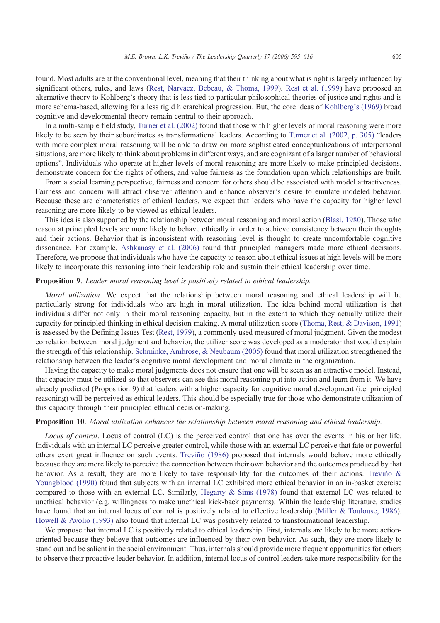found. Most adults are at the conventional level, meaning that their thinking about what is right is largely influenced by significant others, rules, and laws (Rest, Narvaez, Bebeau, & Thoma, 1999). Rest et al. (1999) have proposed an alternative theory to Kohlberg's theory that is less tied to particular philosophical theories of justice and rights and is more schema-based, allowing for a less rigid hierarchical progression. But, the core ideas of Kohlberg's (1969) broad cognitive and developmental theory remain central to their approach.

In a multi-sample field study, Turner et al. (2002) found that those with higher levels of moral reasoning were more likely to be seen by their subordinates as transformational leaders. According to Turner et al. (2002, p. 305) "leaders with more complex moral reasoning will be able to draw on more sophisticated conceptualizations of interpersonal situations, are more likely to think about problems in different ways, and are cognizant of a larger number of behavioral options". Individuals who operate at higher levels of moral reasoning are more likely to make principled decisions, demonstrate concern for the rights of others, and value fairness as the foundation upon which relationships are built.

From a social learning perspective, fairness and concern for others should be associated with model attractiveness. Fairness and concern will attract observer attention and enhance observer's desire to emulate modeled behavior. Because these are characteristics of ethical leaders, we expect that leaders who have the capacity for higher level reasoning are more likely to be viewed as ethical leaders.

This idea is also supported by the relationship between moral reasoning and moral action (Blasi, 1980). Those who reason at principled levels are more likely to behave ethically in order to achieve consistency between their thoughts and their actions. Behavior that is inconsistent with reasoning level is thought to create uncomfortable cognitive dissonance. For example, Ashkanasy et al. (2006) found that principled managers made more ethical decisions. Therefore, we propose that individuals who have the capacity to reason about ethical issues at high levels will be more likely to incorporate this reasoning into their leadership role and sustain their ethical leadership over time.

### Proposition 9. Leader moral reasoning level is positively related to ethical leadership.

Moral utilization. We expect that the relationship between moral reasoning and ethical leadership will be particularly strong for individuals who are high in moral utilization. The idea behind moral utilization is that individuals differ not only in their moral reasoning capacity, but in the extent to which they actually utilize their capacity for principled thinking in ethical decision-making. A moral utilization score (Thoma, Rest, & Davison, 1991) is assessed by the Defining Issues Test (Rest, 1979), a commonly used measured of moral judgment. Given the modest correlation between moral judgment and behavior, the utilizer score was developed as a moderator that would explain the strength of this relationship. Schminke, Ambrose, & Neubaum (2005) found that moral utilization strengthened the relationship between the leader's cognitive moral development and moral climate in the organization.

Having the capacity to make moral judgments does not ensure that one will be seen as an attractive model. Instead, that capacity must be utilized so that observers can see this moral reasoning put into action and learn from it. We have already predicted (Proposition 9) that leaders with a higher capacity for cognitive moral development (i.e. principled reasoning) will be perceived as ethical leaders. This should be especially true for those who demonstrate utilization of this capacity through their principled ethical decision-making.

# Proposition 10. Moral utilization enhances the relationship between moral reasoning and ethical leadership.

Locus of control. Locus of control (LC) is the perceived control that one has over the events in his or her life. Individuals with an internal LC perceive greater control, while those with an external LC perceive that fate or powerful others exert great influence on such events. Treviño (1986) proposed that internals would behave more ethically because they are more likely to perceive the connection between their own behavior and the outcomes produced by that behavior. As a result, they are more likely to take responsibility for the outcomes of their actions. Treviño & Youngblood (1990) found that subjects with an internal LC exhibited more ethical behavior in an in-basket exercise compared to those with an external LC. Similarly, Hegarty & Sims (1978) found that external LC was related to unethical behavior (e.g. willingness to make unethical kick-back payments). Within the leadership literature, studies have found that an internal locus of control is positively related to effective leadership (Miller & Toulouse, 1986). Howell & Avolio (1993) also found that internal LC was positively related to transformational leadership.

We propose that internal LC is positively related to ethical leadership. First, internals are likely to be more actionoriented because they believe that outcomes are influenced by their own behavior. As such, they are more likely to stand out and be salient in the social environment. Thus, internals should provide more frequent opportunities for others to observe their proactive leader behavior. In addition, internal locus of control leaders take more responsibility for the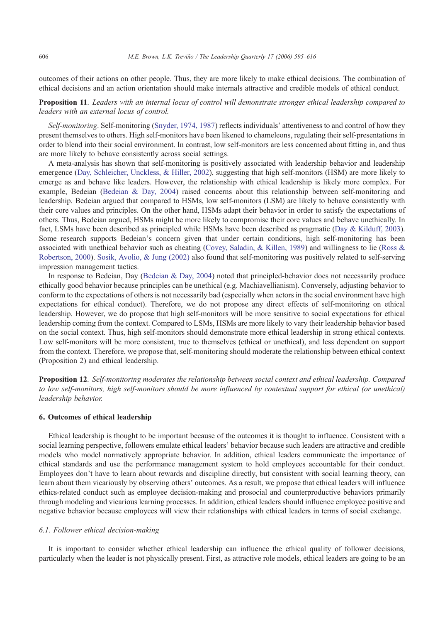outcomes of their actions on other people. Thus, they are more likely to make ethical decisions. The combination of ethical decisions and an action orientation should make internals attractive and credible models of ethical conduct.

# Proposition 11. Leaders with an internal locus of control will demonstrate stronger ethical leadership compared to leaders with an external locus of control.

Self-monitoring. Self-monitoring (Snyder, 1974, 1987) reflects individuals' attentiveness to and control of how they present themselves to others. High self-monitors have been likened to chameleons, regulating their self-presentations in order to blend into their social environment. In contrast, low self-monitors are less concerned about fitting in, and thus are more likely to behave consistently across social settings.

A meta-analysis has shown that self-monitoring is positively associated with leadership behavior and leadership emergence (Day, Schleicher, Unckless, & Hiller, 2002), suggesting that high self-monitors (HSM) are more likely to emerge as and behave like leaders. However, the relationship with ethical leadership is likely more complex. For example, Bedeian (Bedeian & Day, 2004) raised concerns about this relationship between self-monitoring and leadership. Bedeian argued that compared to HSMs, low self-monitors (LSM) are likely to behave consistently with their core values and principles. On the other hand, HSMs adapt their behavior in order to satisfy the expectations of others. Thus, Bedeian argued, HSMs might be more likely to compromise their core values and behave unethically. In fact, LSMs have been described as principled while HSMs have been described as pragmatic (Day & Kilduff, 2003). Some research supports Bedeian's concern given that under certain conditions, high self-monitoring has been associated with unethical behavior such as cheating (Covey, Saladin, & Killen, 1989) and willingness to lie (Ross & Robertson, 2000). Sosik, Avolio, & Jung (2002) also found that self-monitoring was positively related to self-serving impression management tactics.

In response to Bedeian, Day (Bedeian & Day, 2004) noted that principled-behavior does not necessarily produce ethically good behavior because principles can be unethical (e.g. Machiavellianism). Conversely, adjusting behavior to conform to the expectations of others is not necessarily bad (especially when actors in the social environment have high expectations for ethical conduct). Therefore, we do not propose any direct effects of self-monitoring on ethical leadership. However, we do propose that high self-monitors will be more sensitive to social expectations for ethical leadership coming from the context. Compared to LSMs, HSMs are more likely to vary their leadership behavior based on the social context. Thus, high self-monitors should demonstrate more ethical leadership in strong ethical contexts. Low self-monitors will be more consistent, true to themselves (ethical or unethical), and less dependent on support from the context. Therefore, we propose that, self-monitoring should moderate the relationship between ethical context (Proposition 2) and ethical leadership.

Proposition 12. Self-monitoring moderates the relationship between social context and ethical leadership. Compared to low self-monitors, high self-monitors should be more influenced by contextual support for ethical (or unethical) leadership behavior.

# 6. Outcomes of ethical leadership

Ethical leadership is thought to be important because of the outcomes it is thought to influence. Consistent with a social learning perspective, followers emulate ethical leaders' behavior because such leaders are attractive and credible models who model normatively appropriate behavior. In addition, ethical leaders communicate the importance of ethical standards and use the performance management system to hold employees accountable for their conduct. Employees don't have to learn about rewards and discipline directly, but consistent with social learning theory, can learn about them vicariously by observing others' outcomes. As a result, we propose that ethical leaders will influence ethics-related conduct such as employee decision-making and prosocial and counterproductive behaviors primarily through modeling and vicarious learning processes. In addition, ethical leaders should influence employee positive and negative behavior because employees will view their relationships with ethical leaders in terms of social exchange.

# 6.1. Follower ethical decision-making

It is important to consider whether ethical leadership can influence the ethical quality of follower decisions, particularly when the leader is not physically present. First, as attractive role models, ethical leaders are going to be an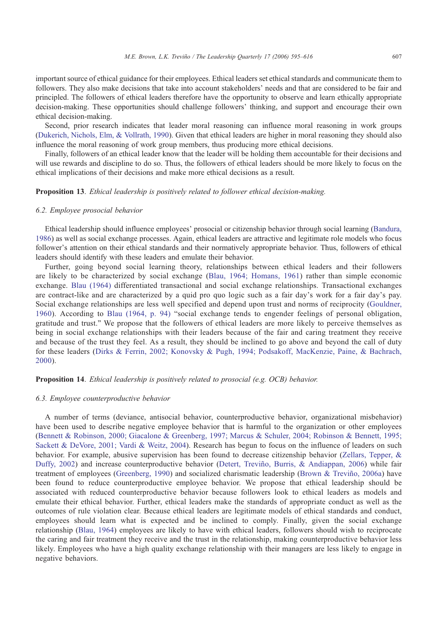important source of ethical guidance for their employees. Ethical leaders set ethical standards and communicate them to followers. They also make decisions that take into account stakeholders' needs and that are considered to be fair and principled. The followers of ethical leaders therefore have the opportunity to observe and learn ethically appropriate decision-making. These opportunities should challenge followers' thinking, and support and encourage their own ethical decision-making.

Second, prior research indicates that leader moral reasoning can influence moral reasoning in work groups (Dukerich, Nichols, Elm, & Vollrath, 1990). Given that ethical leaders are higher in moral reasoning they should also influence the moral reasoning of work group members, thus producing more ethical decisions.

Finally, followers of an ethical leader know that the leader will be holding them accountable for their decisions and will use rewards and discipline to do so. Thus, the followers of ethical leaders should be more likely to focus on the ethical implications of their decisions and make more ethical decisions as a result.

# Proposition 13. Ethical leadership is positively related to follower ethical decision-making.

## 6.2. Employee prosocial behavior

Ethical leadership should influence employees' prosocial or citizenship behavior through social learning (Bandura, 1986) as well as social exchange processes. Again, ethical leaders are attractive and legitimate role models who focus follower's attention on their ethical standards and their normatively appropriate behavior. Thus, followers of ethical leaders should identify with these leaders and emulate their behavior.

Further, going beyond social learning theory, relationships between ethical leaders and their followers are likely to be characterized by social exchange (Blau, 1964; Homans, 1961) rather than simple economic exchange. Blau (1964) differentiated transactional and social exchange relationships. Transactional exchanges are contract-like and are characterized by a quid pro quo logic such as a fair day's work for a fair day's pay. Social exchange relationships are less well specified and depend upon trust and norms of reciprocity (Gouldner, 1960). According to Blau (1964, p. 94) "social exchange tends to engender feelings of personal obligation, gratitude and trust." We propose that the followers of ethical leaders are more likely to perceive themselves as being in social exchange relationships with their leaders because of the fair and caring treatment they receive and because of the trust they feel. As a result, they should be inclined to go above and beyond the call of duty for these leaders (Dirks & Ferrin, 2002; Konovsky & Pugh, 1994; Podsakoff, MacKenzie, Paine, & Bachrach, 2000).

### Proposition 14. Ethical leadership is positively related to prosocial (e.g. OCB) behavior.

#### 6.3. Employee counterproductive behavior

A number of terms (deviance, antisocial behavior, counterproductive behavior, organizational misbehavior) have been used to describe negative employee behavior that is harmful to the organization or other employees (Bennett & Robinson, 2000; Giacalone & Greenberg, 1997; Marcus & Schuler, 2004; Robinson & Bennett, 1995; Sackett & DeVore, 2001; Vardi & Weitz, 2004). Research has begun to focus on the influence of leaders on such behavior. For example, abusive supervision has been found to decrease citizenship behavior (Zellars, Tepper, & Duffy, 2002) and increase counterproductive behavior (Detert, Treviño, Burris, & Andiappan, 2006) while fair treatment of employees (Greenberg, 1990) and socialized charismatic leadership (Brown & Treviño, 2006a) have been found to reduce counterproductive employee behavior. We propose that ethical leadership should be associated with reduced counterproductive behavior because followers look to ethical leaders as models and emulate their ethical behavior. Further, ethical leaders make the standards of appropriate conduct as well as the outcomes of rule violation clear. Because ethical leaders are legitimate models of ethical standards and conduct, employees should learn what is expected and be inclined to comply. Finally, given the social exchange relationship (Blau, 1964) employees are likely to have with ethical leaders, followers should wish to reciprocate the caring and fair treatment they receive and the trust in the relationship, making counterproductive behavior less likely. Employees who have a high quality exchange relationship with their managers are less likely to engage in negative behaviors.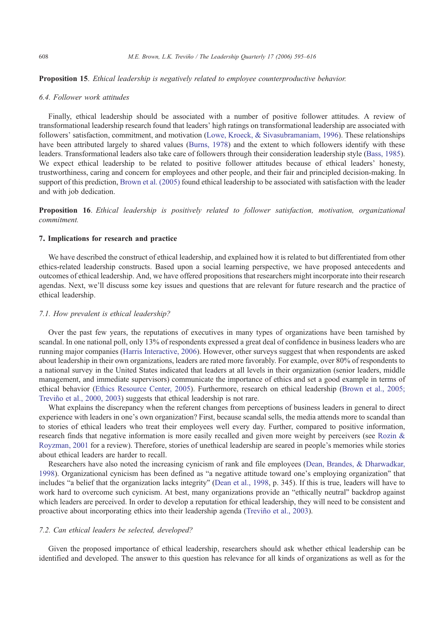### Proposition 15. Ethical leadership is negatively related to employee counterproductive behavior.

### 6.4. Follower work attitudes

Finally, ethical leadership should be associated with a number of positive follower attitudes. A review of transformational leadership research found that leaders' high ratings on transformational leadership are associated with followers' satisfaction, commitment, and motivation (Lowe, Kroeck, & Sivasubramaniam, 1996). These relationships have been attributed largely to shared values (Burns, 1978) and the extent to which followers identify with these leaders. Transformational leaders also take care of followers through their consideration leadership style (Bass, 1985). We expect ethical leadership to be related to positive follower attitudes because of ethical leaders' honesty, trustworthiness, caring and concern for employees and other people, and their fair and principled decision-making. In support of this prediction, Brown et al. (2005) found ethical leadership to be associated with satisfaction with the leader and with job dedication.

Proposition 16. Ethical leadership is positively related to follower satisfaction, motivation, organizational commitment.

### 7. Implications for research and practice

We have described the construct of ethical leadership, and explained how it is related to but differentiated from other ethics-related leadership constructs. Based upon a social learning perspective, we have proposed antecedents and outcomes of ethical leadership. And, we have offered propositions that researchers might incorporate into their research agendas. Next, we'll discuss some key issues and questions that are relevant for future research and the practice of ethical leadership.

# 7.1. How prevalent is ethical leadership?

Over the past few years, the reputations of executives in many types of organizations have been tarnished by scandal. In one national poll, only 13% of respondents expressed a great deal of confidence in business leaders who are running major companies (Harris Interactive, 2006). However, other surveys suggest that when respondents are asked about leadership in their own organizations, leaders are rated more favorably. For example, over 80% of respondents to a national survey in the United States indicated that leaders at all levels in their organization (senior leaders, middle management, and immediate supervisors) communicate the importance of ethics and set a good example in terms of ethical behavior (Ethics Resource Center, 2005). Furthermore, research on ethical leadership (Brown et al., 2005; Treviño et al., 2000, 2003) suggests that ethical leadership is not rare.

What explains the discrepancy when the referent changes from perceptions of business leaders in general to direct experience with leaders in one's own organization? First, because scandal sells, the media attends more to scandal than to stories of ethical leaders who treat their employees well every day. Further, compared to positive information, research finds that negative information is more easily recalled and given more weight by perceivers (see Rozin & Royzman, 2001 for a review). Therefore, stories of unethical leadership are seared in people's memories while stories about ethical leaders are harder to recall.

Researchers have also noted the increasing cynicism of rank and file employees (Dean, Brandes, & Dharwadkar, 1998). Organizational cynicism has been defined as "a negative attitude toward one's employing organization" that includes "a belief that the organization lacks integrity" (Dean et al., 1998, p. 345). If this is true, leaders will have to work hard to overcome such cynicism. At best, many organizations provide an "ethically neutral" backdrop against which leaders are perceived. In order to develop a reputation for ethical leadership, they will need to be consistent and proactive about incorporating ethics into their leadership agenda (Treviño et al., 2003).

# 7.2. Can ethical leaders be selected, developed?

Given the proposed importance of ethical leadership, researchers should ask whether ethical leadership can be identified and developed. The answer to this question has relevance for all kinds of organizations as well as for the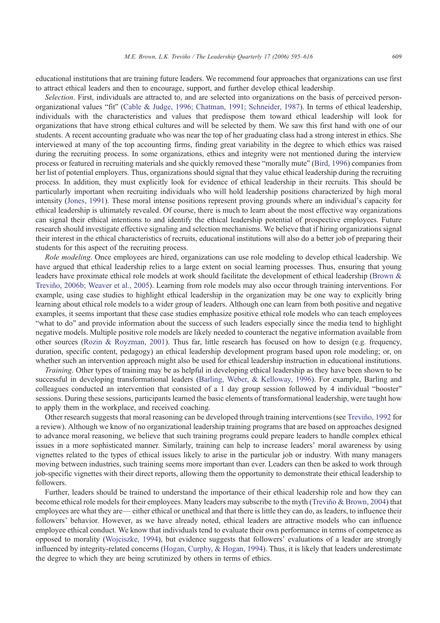educational institutions that are training future leaders. We recommend four approaches that organizations can use first to attract ethical leaders and then to encourage, support, and further develop ethical leadership.

Selection. First, individuals are attracted to, and are selected into organizations on the basis of perceived personorganizational values "fit" (Cable & Judge, 1996; Chatman, 1991; Schneider, 1987). In terms of ethical leadership, individuals with the characteristics and values that predispose them toward ethical leadership will look for organizations that have strong ethical cultures and will be selected by them. We saw this first hand with one of our students. A recent accounting graduate who was near the top of her graduating class had a strong interest in ethics. She interviewed at many of the top accounting firms, finding great variability in the degree to which ethics was raised during the recruiting process. In some organizations, ethics and integrity were not mentioned during the interview process or featured in recruiting materials and she quickly removed these "morally mute" (Bird, 1996) companies from her list of potential employers. Thus, organizations should signal that they value ethical leadership during the recruiting process. In addition, they must explicitly look for evidence of ethical leadership in their recruits. This should be particularly important when recruiting individuals who will hold leadership positions characterized by high moral intensity (Jones, 1991). These moral intense positions represent proving grounds where an individual's capacity for ethical leadership is ultimately revealed. Of course, there is much to learn about the most effective way organizations can signal their ethical intentions to and identify the ethical leadership potential of prospective employees. Future research should investigate effective signaling and selection mechanisms. We believe that if hiring organizations signal their interest in the ethical characteristics of recruits, educational institutions will also do a better job of preparing their students for this aspect of the recruiting process.

Role modeling. Once employees are hired, organizations can use role modeling to develop ethical leadership. We have argued that ethical leadership relies to a large extent on social learning processes. Thus, ensuring that young leaders have proximate ethical role models at work should facilitate the development of ethical leadership (Brown & Treviño, 2006b; Weaver et al., 2005). Learning from role models may also occur through training interventions. For example, using case studies to highlight ethical leadership in the organization may be one way to explicitly bring learning about ethical role models to a wider group of leaders. Although one can learn from both positive and negative examples, it seems important that these case studies emphasize positive ethical role models who can teach employees "what to do" and provide information about the success of such leaders especially since the media tend to highlight negative models. Multiple positive role models are likely needed to counteract the negative information available from other sources (Rozin & Royzman, 2001). Thus far, little research has focused on how to design (e.g. frequency, duration, specific content, pedagogy) an ethical leadership development program based upon role modeling; or, on whether such an intervention approach might also be used for ethical leadership instruction in educational institutions.

Training. Other types of training may be as helpful in developing ethical leadership as they have been shown to be successful in developing transformational leaders (Barling, Weber, & Kelloway, 1996). For example, Barling and colleagues conducted an intervention that consisted of a 1 day group session followed by 4 individual "booster" sessions. During these sessions, participants learned the basic elements of transformational leadership, were taught how to apply them in the workplace, and received coaching.

Other research suggests that moral reasoning can be developed through training interventions (see Treviño, 1992 for a review). Although we know of no organizational leadership training programs that are based on approaches designed to advance moral reasoning, we believe that such training programs could prepare leaders to handle complex ethical issues in a more sophisticated manner. Similarly, training can help to increase leaders' moral awareness by using vignettes related to the types of ethical issues likely to arise in the particular job or industry. With many managers moving between industries, such training seems more important than ever. Leaders can then be asked to work through job-specific vignettes with their direct reports, allowing them the opportunity to demonstrate their ethical leadership to followers.

Further, leaders should be trained to understand the importance of their ethical leadership role and how they can become ethical role models for their employees. Many leaders may subscribe to the myth (Treviño & Brown, 2004) that employees are what they are— either ethical or unethical and that there is little they can do, as leaders, to influence their followers' behavior. However, as we have already noted, ethical leaders are attractive models who can influence employee ethical conduct. We know that individuals tend to evaluate their own performance in terms of competence as opposed to morality (Wojciszke, 1994), but evidence suggests that followers' evaluations of a leader are strongly influenced by integrity-related concerns (Hogan, Curphy, & Hogan, 1994). Thus, it is likely that leaders underestimate the degree to which they are being scrutinized by others in terms of ethics.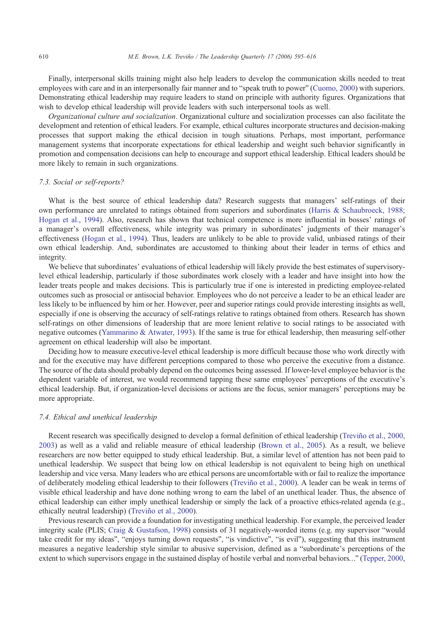Finally, interpersonal skills training might also help leaders to develop the communication skills needed to treat employees with care and in an interpersonally fair manner and to "speak truth to power" (Cuomo, 2000) with superiors. Demonstrating ethical leadership may require leaders to stand on principle with authority figures. Organizations that wish to develop ethical leadership will provide leaders with such interpersonal tools as well.

Organizational culture and socialization. Organizational culture and socialization processes can also facilitate the development and retention of ethical leaders. For example, ethical cultures incorporate structures and decision-making processes that support making the ethical decision in tough situations. Perhaps, most important, performance management systems that incorporate expectations for ethical leadership and weight such behavior significantly in promotion and compensation decisions can help to encourage and support ethical leadership. Ethical leaders should be more likely to remain in such organizations.

#### 7.3. Social or self-reports?

What is the best source of ethical leadership data? Research suggests that managers' self-ratings of their own performance are unrelated to ratings obtained from superiors and subordinates (Harris & Schaubroeck, 1988; Hogan et al., 1994). Also, research has shown that technical competence is more influential in bosses' ratings of a manager's overall effectiveness, while integrity was primary in subordinates' judgments of their manager's effectiveness (Hogan et al., 1994). Thus, leaders are unlikely to be able to provide valid, unbiased ratings of their own ethical leadership. And, subordinates are accustomed to thinking about their leader in terms of ethics and integrity.

We believe that subordinates' evaluations of ethical leadership will likely provide the best estimates of supervisorylevel ethical leadership, particularly if those subordinates work closely with a leader and have insight into how the leader treats people and makes decisions. This is particularly true if one is interested in predicting employee-related outcomes such as prosocial or antisocial behavior. Employees who do not perceive a leader to be an ethical leader are less likely to be influenced by him or her. However, peer and superior ratings could provide interesting insights as well, especially if one is observing the accuracy of self-ratings relative to ratings obtained from others. Research has shown self-ratings on other dimensions of leadership that are more lenient relative to social ratings to be associated with negative outcomes (Yammarino & Atwater, 1993). If the same is true for ethical leadership, then measuring self-other agreement on ethical leadership will also be important.

Deciding how to measure executive-level ethical leadership is more difficult because those who work directly with and for the executive may have different perceptions compared to those who perceive the executive from a distance. The source of the data should probably depend on the outcomes being assessed. If lower-level employee behavior is the dependent variable of interest, we would recommend tapping these same employees' perceptions of the executive's ethical leadership. But, if organization-level decisions or actions are the focus, senior managers' perceptions may be more appropriate.

# 7.4. Ethical and unethical leadership

Recent research was specifically designed to develop a formal definition of ethical leadership (Treviño et al., 2000, 2003) as well as a valid and reliable measure of ethical leadership (Brown et al., 2005). As a result, we believe researchers are now better equipped to study ethical leadership. But, a similar level of attention has not been paid to unethical leadership. We suspect that being low on ethical leadership is not equivalent to being high on unethical leadership and vice versa. Many leaders who are ethical persons are uncomfortable with or fail to realize the importance of deliberately modeling ethical leadership to their followers (Treviño et al., 2000). A leader can be weak in terms of visible ethical leadership and have done nothing wrong to earn the label of an unethical leader. Thus, the absence of ethical leadership can either imply unethical leadership or simply the lack of a proactive ethics-related agenda (e.g., ethically neutral leadership) (Treviño et al., 2000).

Previous research can provide a foundation for investigating unethical leadership. For example, the perceived leader integrity scale (PLIS; Craig & Gustafson, 1998) consists of 31 negatively-worded items (e.g. my supervisor "would take credit for my ideas", "enjoys turning down requests", "is vindictive", "is evil"), suggesting that this instrument measures a negative leadership style similar to abusive supervision, defined as a "subordinate's perceptions of the extent to which supervisors engage in the sustained display of hostile verbal and nonverbal behaviors…" (Tepper, 2000,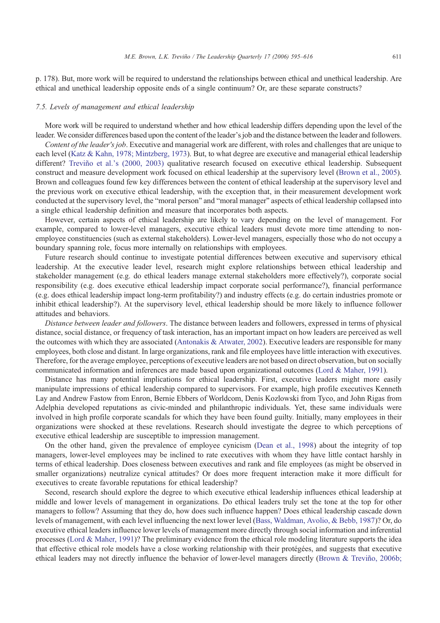p. 178). But, more work will be required to understand the relationships between ethical and unethical leadership. Are ethical and unethical leadership opposite ends of a single continuum? Or, are these separate constructs?

### 7.5. Levels of management and ethical leadership

More work will be required to understand whether and how ethical leadership differs depending upon the level of the leader. We consider differences based upon the content of the leader's job and the distance between the leader and followers.

Content of the leader's job. Executive and managerial work are different, with roles and challenges that are unique to each level (Katz & Kahn, 1978; Mintzberg, 1973). But, to what degree are executive and managerial ethical leadership different? Treviño et al.'s (2000, 2003) qualitative research focused on executive ethical leadership. Subsequent construct and measure development work focused on ethical leadership at the supervisory level (Brown et al., 2005). Brown and colleagues found few key differences between the content of ethical leadership at the supervisory level and the previous work on executive ethical leadership, with the exception that, in their measurement development work conducted at the supervisory level, the "moral person" and "moral manager" aspects of ethical leadership collapsed into a single ethical leadership definition and measure that incorporates both aspects.

However, certain aspects of ethical leadership are likely to vary depending on the level of management. For example, compared to lower-level managers, executive ethical leaders must devote more time attending to nonemployee constituencies (such as external stakeholders). Lower-level managers, especially those who do not occupy a boundary spanning role, focus more internally on relationships with employees.

Future research should continue to investigate potential differences between executive and supervisory ethical leadership. At the executive leader level, research might explore relationships between ethical leadership and stakeholder management (e.g. do ethical leaders manage external stakeholders more effectively?), corporate social responsibility (e.g. does executive ethical leadership impact corporate social performance?), financial performance (e.g. does ethical leadership impact long-term profitability?) and industry effects (e.g. do certain industries promote or inhibit ethical leadership?). At the supervisory level, ethical leadership should be more likely to influence follower attitudes and behaviors.

Distance between leader and followers. The distance between leaders and followers, expressed in terms of physical distance, social distance, or frequency of task interaction, has an important impact on how leaders are perceived as well the outcomes with which they are associated (Antonakis & Atwater, 2002). Executive leaders are responsible for many employees, both close and distant. In large organizations, rank and file employees have little interaction with executives. Therefore, for the average employee, perceptions of executive leaders are not based on direct observation, but on socially communicated information and inferences are made based upon organizational outcomes (Lord & Maher, 1991).

Distance has many potential implications for ethical leadership. First, executive leaders might more easily manipulate impressions of ethical leadership compared to supervisors. For example, high profile executives Kenneth Lay and Andrew Fastow from Enron, Bernie Ebbers of Worldcom, Denis Kozlowski from Tyco, and John Rigas from Adelphia developed reputations as civic-minded and philanthropic individuals. Yet, these same individuals were involved in high profile corporate scandals for which they have been found guilty. Initially, many employees in their organizations were shocked at these revelations. Research should investigate the degree to which perceptions of executive ethical leadership are susceptible to impression management.

On the other hand, given the prevalence of employee cynicism (Dean et al., 1998) about the integrity of top managers, lower-level employees may be inclined to rate executives with whom they have little contact harshly in terms of ethical leadership. Does closeness between executives and rank and file employees (as might be observed in smaller organizations) neutralize cynical attitudes? Or does more frequent interaction make it more difficult for executives to create favorable reputations for ethical leadership?

Second, research should explore the degree to which executive ethical leadership influences ethical leadership at middle and lower levels of management in organizations. Do ethical leaders truly set the tone at the top for other managers to follow? Assuming that they do, how does such influence happen? Does ethical leadership cascade down levels of management, with each level influencing the next lower level (Bass, Waldman, Avolio, & Bebb, 1987)? Or, do executive ethical leaders influence lower levels of management more directly through social information and inferential processes (Lord & Maher, 1991)? The preliminary evidence from the ethical role modeling literature supports the idea that effective ethical role models have a close working relationship with their protégées, and suggests that executive ethical leaders may not directly influence the behavior of lower-level managers directly (Brown & Treviño, 2006b;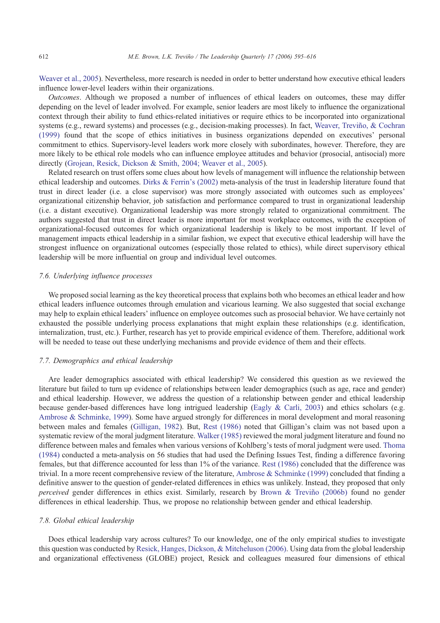Weaver et al., 2005). Nevertheless, more research is needed in order to better understand how executive ethical leaders influence lower-level leaders within their organizations.

Outcomes. Although we proposed a number of influences of ethical leaders on outcomes, these may differ depending on the level of leader involved. For example, senior leaders are most likely to influence the organizational context through their ability to fund ethics-related initiatives or require ethics to be incorporated into organizational systems (e.g., reward systems) and processes (e.g., decision-making processes). In fact, Weaver, Treviño, & Cochran (1999) found that the scope of ethics initiatives in business organizations depended on executives' personal commitment to ethics. Supervisory-level leaders work more closely with subordinates, however. Therefore, they are more likely to be ethical role models who can influence employee attitudes and behavior (prosocial, antisocial) more directly (Grojean, Resick, Dickson & Smith, 2004; Weaver et al., 2005).

Related research on trust offers some clues about how levels of management will influence the relationship between ethical leadership and outcomes. Dirks & Ferrin's (2002) meta-analysis of the trust in leadership literature found that trust in direct leader (i.e. a close supervisor) was more strongly associated with outcomes such as employees' organizational citizenship behavior, job satisfaction and performance compared to trust in organizational leadership (i.e. a distant executive). Organizational leadership was more strongly related to organizational commitment. The authors suggested that trust in direct leader is more important for most workplace outcomes, with the exception of organizational-focused outcomes for which organizational leadership is likely to be most important. If level of management impacts ethical leadership in a similar fashion, we expect that executive ethical leadership will have the strongest influence on organizational outcomes (especially those related to ethics), while direct supervisory ethical leadership will be more influential on group and individual level outcomes.

### 7.6. Underlying influence processes

We proposed social learning as the key theoretical process that explains both who becomes an ethical leader and how ethical leaders influence outcomes through emulation and vicarious learning. We also suggested that social exchange may help to explain ethical leaders' influence on employee outcomes such as prosocial behavior. We have certainly not exhausted the possible underlying process explanations that might explain these relationships (e.g. identification, internalization, trust, etc.). Further, research has yet to provide empirical evidence of them. Therefore, additional work will be needed to tease out these underlying mechanisms and provide evidence of them and their effects.

# 7.7. Demographics and ethical leadership

Are leader demographics associated with ethical leadership? We considered this question as we reviewed the literature but failed to turn up evidence of relationships between leader demographics (such as age, race and gender) and ethical leadership. However, we address the question of a relationship between gender and ethical leadership because gender-based differences have long intrigued leadership (Eagly & Carli, 2003) and ethics scholars (e.g. Ambrose & Schminke, 1999). Some have argued strongly for differences in moral development and moral reasoning between males and females (Gilligan, 1982). But, Rest (1986) noted that Gilligan's claim was not based upon a systematic review of the moral judgment literature. Walker (1985) reviewed the moral judgment literature and found no difference between males and females when various versions of Kohlberg's tests of moral judgment were used. Thoma (1984) conducted a meta-analysis on 56 studies that had used the Defining Issues Test, finding a difference favoring females, but that difference accounted for less than 1% of the variance. Rest (1986) concluded that the difference was trivial. In a more recent comprehensive review of the literature, Ambrose & Schminke (1999) concluded that finding a definitive answer to the question of gender-related differences in ethics was unlikely. Instead, they proposed that only perceived gender differences in ethics exist. Similarly, research by Brown & Treviño (2006b) found no gender differences in ethical leadership. Thus, we propose no relationship between gender and ethical leadership.

#### 7.8. Global ethical leadership

Does ethical leadership vary across cultures? To our knowledge, one of the only empirical studies to investigate this question was conducted by Resick, Hanges, Dickson, & Mitcheluson (2006). Using data from the global leadership and organizational effectiveness (GLOBE) project, Resick and colleagues measured four dimensions of ethical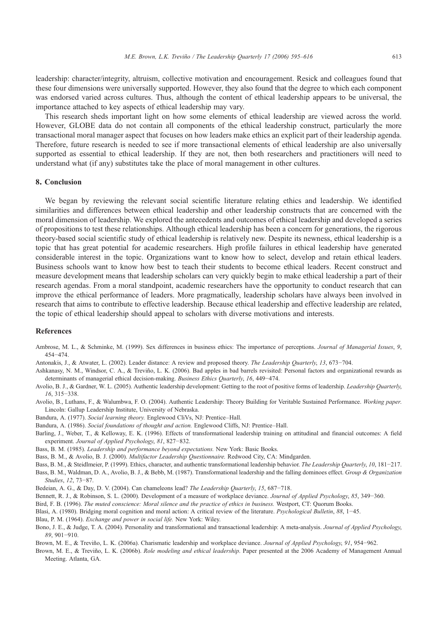leadership: character/integrity, altruism, collective motivation and encouragement. Resick and colleagues found that these four dimensions were universally supported. However, they also found that the degree to which each component was endorsed varied across cultures. Thus, although the content of ethical leadership appears to be universal, the importance attached to key aspects of ethical leadership may vary.

This research sheds important light on how some elements of ethical leadership are viewed across the world. However, GLOBE data do not contain all components of the ethical leadership construct, particularly the more transactional moral manager aspect that focuses on how leaders make ethics an explicit part of their leadership agenda. Therefore, future research is needed to see if more transactional elements of ethical leadership are also universally supported as essential to ethical leadership. If they are not, then both researchers and practitioners will need to understand what (if any) substitutes take the place of moral management in other cultures.

# 8. Conclusion

We began by reviewing the relevant social scientific literature relating ethics and leadership. We identified similarities and differences between ethical leadership and other leadership constructs that are concerned with the moral dimension of leadership. We explored the antecedents and outcomes of ethical leadership and developed a series of propositions to test these relationships. Although ethical leadership has been a concern for generations, the rigorous theory-based social scientific study of ethical leadership is relatively new. Despite its newness, ethical leadership is a topic that has great potential for academic researchers. High profile failures in ethical leadership have generated considerable interest in the topic. Organizations want to know how to select, develop and retain ethical leaders. Business schools want to know how best to teach their students to become ethical leaders. Recent construct and measure development means that leadership scholars can very quickly begin to make ethical leadership a part of their research agendas. From a moral standpoint, academic researchers have the opportunity to conduct research that can improve the ethical performance of leaders. More pragmatically, leadership scholars have always been involved in research that aims to contribute to effective leadership. Because ethical leadership and effective leadership are related, the topic of ethical leadership should appeal to scholars with diverse motivations and interests.

### **References**

- Ambrose, M. L., & Schminke, M. (1999). Sex differences in business ethics: The importance of perceptions. Journal of Managerial Issues, 9, 454−474.
- Antonakis, J., & Atwater, L. (2002). Leader distance: A review and proposed theory. The Leadership Quarterly, 13, 673−704.
- Ashkanasy, N. M., Windsor, C. A., & Treviño, L. K. (2006). Bad apples in bad barrels revisited: Personal factors and organizational rewards as determinants of managerial ethical decision-making. Business Ethics Quarterly, 16, 449−474.
- Avolio, B. J., & Gardner, W. L. (2005). Authentic leadership development: Getting to the root of positive forms of leadership. Leadership Quarterly, 16, 315−338.
- Avolio, B., Luthans, F., & Walumbwa, F. O. (2004). Authentic Leadership: Theory Building for Veritable Sustained Performance. Working paper. Lincoln: Gallup Leadership Institute, University of Nebraska.
- Bandura, A. (1977). Social learning theory. Englewood CliVs, NJ: Prentice–Hall.
- Bandura, A. (1986). Social foundations of thought and action. Englewood Cliffs, NJ: Prentice–Hall.
- Barling, J., Weber, T., & Kelloway, E. K. (1996). Effects of transformational leadership training on attitudinal and financial outcomes: A field experiment. Journal of Applied Psychology, 81, 827−832.
- Bass, B. M. (1985). Leadership and performance beyond expectations. New York: Basic Books.
- Bass, B. M., & Avolio, B. J. (2000). Multifactor Leadership Questionnaire. Redwood City, CA: Mindgarden.
- Bass, B. M., & Steidlmeier, P. (1999). Ethics, character, and authentic transformational leadership behavior. The Leadership Quarterly, 10, 181−217. Bass, B. M., Waldman, D. A., Avolio, B. J., & Bebb, M. (1987). Transformational leadership and the falling dominoes effect. Group & Organization
	- Studies, 12, 73−87.
- Bedeian, A. G., & Day, D. V. (2004). Can chameleons lead? The Leadership Quarterly, 15, 687−718.
- Bennett, R. J., & Robinson, S. L. (2000). Development of a measure of workplace deviance. Journal of Applied Psychology, 85, 349−360.
- Bird, F. B. (1996). The muted conscience: Moral silence and the practice of ethics in business. Westport, CT: Quorum Books.
- Blasi, A. (1980). Bridging moral cognition and moral action: A critical review of the literature. Psychological Bulletin, 88, 1−45.
- Blau, P. M. (1964). Exchange and power in social life. New York: Wiley.
- Bono, J. E., & Judge, T. A. (2004). Personality and transformational and transactional leadership: A meta-analysis. Journal of Applied Psychology, 89, 901−910.
- Brown, M. E., & Treviño, L. K. (2006a). Charismatic leadership and workplace deviance. Journal of Applied Psychology, 91, 954−962.
- Brown, M. E., & Treviño, L. K. (2006b). Role modeling and ethical leadership. Paper presented at the 2006 Academy of Management Annual Meeting. Atlanta, GA.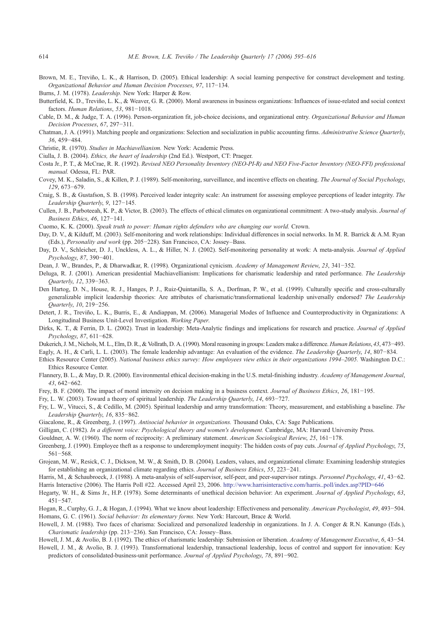Brown, M. E., Treviño, L. K., & Harrison, D. (2005). Ethical leadership: A social learning perspective for construct development and testing. Organizational Behavior and Human Decision Processes, 97, 117−134.

Burns, J. M. (1978). Leadership. New York: Harper & Row.

- Butterfield, K. D., Treviño, L. K., & Weaver, G. R. (2000). Moral awareness in business organizations: Influences of issue-related and social context factors. Human Relations, 53, 981−1018.
- Cable, D. M., & Judge, T. A. (1996). Person-organization fit, job-choice decisions, and organizational entry. Organizational Behavior and Human Decision Processes, 67, 297−311.
- Chatman, J. A. (1991). Matching people and organizations: Selection and socialization in public accounting firms. Administrative Science Quarterly, 36, 459−484.
- Christie, R. (1970). Studies in Machiavellianism. New York: Academic Press.
- Ciulla, J. B. (2004). Ethics, the heart of leadership (2nd Ed.). Westport, CT: Praeger.
- Costa Jr., P. T., & McCrae, R. R. (1992). Revised NEO Personality Inventory (NEO-PI-R) and NEO Five-Factor Inventory (NEO-FFI) professional manual. Odessa, FL: PAR.
- Covey, M. K., Saladin, S., & Killen, P. J. (1989). Self-monitoring, surveillance, and incentive effects on cheating. The Journal of Social Psychology, 129, 673−679.
- Craig, S. B., & Gustafson, S. B. (1998). Perceived leader integrity scale: An instrument for assessing employee perceptions of leader integrity. The Leadership Quarterly, 9, 127−145.
- Cullen, J. B., Parboteeah, K. P., & Victor, B. (2003). The effects of ethical climates on organizational commitment: A two-study analysis. Journal of Business Ethics, 46, 127−141.
- Cuomo, K. K. (2000). Speak truth to power: Human rights defenders who are changing our world. Crown.
- Day, D. V., & Kilduff, M. (2003). Self-monitoring and work relationships: Individual differences in social networks. In M. R. Barrick & A.M. Ryan (Eds.), Personality and work (pp. 205−228). San Francisco, CA: Jossey–Bass.
- Day, D. V., Schleicher, D. J., Unckless, A. L., & Hiller, N. J. (2002). Self-monitoring personality at work: A meta-analysis. Journal of Applied Psychology, 87, 390−401.
- Dean, J. W., Brandes, P., & Dharwadkar, R. (1998). Organizational cynicism. Academy of Management Review, 23, 341−352.
- Deluga, R. J. (2001). American presidential Machiavellianism: Implications for charismatic leadership and rated performance. The Leadership Quarterly, 12, 339−363.
- Den Hartog, D. N., House, R. J., Hanges, P. J., Ruiz-Quintanilla, S. A., Dorfman, P. W., et al. (1999). Culturally specific and cross-culturally generalizable implicit leadership theories: Are attributes of charismatic/transformational leadership universally endorsed? The Leadership Quarterly, 10, 219−256.
- Detert, J. R., Treviño, L. K., Burris, E., & Andiappan, M. (2006). Managerial Modes of Influence and Counterproductivity in Organizations: A Longitudinal Business Unit-Level Investigation. Working Paper.
- Dirks, K. T., & Ferrin, D. L. (2002). Trust in leadership: Meta-Analytic findings and implications for research and practice. Journal of Applied Psychology, 87, 611−628.

Dukerich, J. M., Nichols, M. L., Elm, D. R., & Vollrath, D. A. (1990). Moral reasoning in groups: Leaders make a difference. Human Relations, 43, 473−493.

Eagly, A. H., & Carli, L. L. (2003). The female leadership advantage: An evaluation of the evidence. The Leadership Quarterly, 14, 807−834.

Ethics Resource Center (2005). National business ethics survey: How employees view ethics in their organizations 1994–2005. Washington D.C.: Ethics Resource Center.

- Flannery, B. L., & May, D. R. (2000). Environmental ethical decision-making in the U.S. metal-finishing industry. Academy of Management Journal, 43, 642−662.
- Frey, B. F. (2000). The impact of moral intensity on decision making in a business context. Journal of Business Ethics, 26, 181−195.
- Fry, L. W. (2003). Toward a theory of spiritual leadership. The Leadership Quarterly, 14, 693−727.
- Fry, L. W., Vitucci, S., & Cedillo, M. (2005). Spiritual leadership and army transformation: Theory, measurement, and establishing a baseline. The Leadership Quarterly, 16, 835−862.
- Giacalone, R., & Greenberg, J. (1997). Antisocial behavior in organizations. Thousand Oaks, CA: Sage Publications.
- Gilligan, C. (1982). *In a different voice: Psychological theory and women's development.* Cambridge, MA: Harvard University Press.
- Gouldner, A. W. (1960). The norm of reciprocity: A preliminary statement. American Sociological Review, 25, 161−178.
- Greenberg, J. (1990). Employee theft as a response to underemployment inequity: The hidden costs of pay cuts. Journal of Applied Psychology, 75, 561−568.
- Grojean, M. W., Resick, C. J., Dickson, M. W., & Smith, D. B. (2004). Leaders, values, and organizational climate: Examining leadership strategies for establishing an organizational climate regarding ethics. Journal of Business Ethics, 55, 223−241.

Harris, M., & Schaubroeck, J. (1988). A meta-analysis of self-supervisor, self-peer, and peer-supervisor ratings. Personnel Psychology, 41, 43−62. Harris Interactive (2006). The Harris Poll #22. Accessed April 23, 2006. http://www.harrisinteractive.com/harris\_poll/index.asp?PID=646

- Hegarty, W. H., & Sims Jr., H.P. (1978). Some determinants of unethical decision behavior: An experiment. Journal of Applied Psychology, 63, 451−547.
- Hogan, R., Curphy, G. J., & Hogan, J. (1994). What we know about leadership: Effectiveness and personality. American Psychologist, 49, 493−504. Homans, G. C. (1961). Social behavior: Its elementary forms. New York: Harcourt, Brace & World.
- Howell, J. M. (1988). Two faces of charisma: Socialized and personalized leadership in organizations. In J. A. Conger & R.N. Kanungo (Eds.), Charismatic leadership (pp. 213−236). San Francisco, CA: Jossey–Bass.

Howell, J. M., & Avolio, B. J. (1992). The ethics of charismatic leadership: Submission or liberation. Academy of Management Executive, 6, 43−54. Howell, J. M., & Avolio, B. J. (1993). Transformational leadership, transactional leadership, locus of control and support for innovation: Key predictors of consolidated-business-unit performance. Journal of Applied Psychology, 78, 891−902.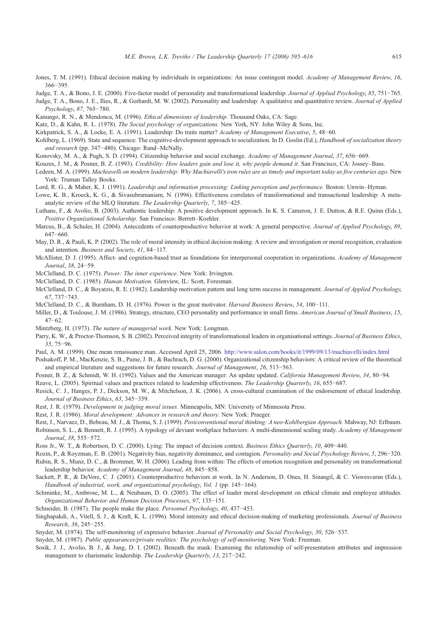- Jones, T. M. (1991). Ethical decision making by individuals in organizations: An issue contingent model. Academy of Management Review, 16, 366−395.
- Judge, T. A., & Bono, J. E. (2000). Five-factor model of personality and transformational leadership. Journal of Applied Psychology, 85, 751−765.
- Judge, T. A., Bono, J. E., Ilies, R., & Gerhardt, M. W. (2002). Personality and leadership: A qualitative and quantitative review. Journal of Applied Psychology, 87, 765−780.
- Kanungo, R. N., & Mendonca, M. (1996). Ethical dimensions of leadership. Thousand Oaks, CA: Sage.
- Katz, D., & Kahn, R. L. (1978). The Social psychology of organizations. New York, NY: John Wiley & Sons, Inc.

Kirkpatrick, S. A., & Locke, E. A. (1991). Leadership: Do traits matter? Academy of Management Executive, 5, 48−60.

- Kohlberg, L. (1969). State and sequence: The cognitive-development approach to socialization. In D. Goslin (Ed.), Handbook of socialization theory and research (pp. 347−480). Chicago: Rand–McNally.
- Konovsky, M. A., & Pugh, S. D. (1994). Citizenship behavior and social exchange. Academy of Management Journal, 37, 656−669.
- Kouzes, J. M., & Posner, B. Z. (1993). Credibility: How leaders gain and lose it, why people demand it. San Francisco, CA: Jossey–Bass.
- Ledeen, M. A. (1999). Machiavelli on modern leadership: Why Machiavelli's iron rules are as timely and important today as five centuries ago. New York: Truman Talley Books.
- Lord, R. G., & Maher, K. J. (1991). Leadership and information processing: Linking perception and performance. Boston: Unwin–Hyman.
- Lowe, K. B., Kroeck, K. G., & Sivasubramaniam, N. (1996). Effectiveness correlates of transformational and transactional leadership: A metaanalytic review of the MLQ literature. The Leadership Quarterly, 7, 385−425.
- Luthans, F., & Avolio, B. (2003). Authentic leadership: A positive development approach. In K. S. Cameron, J. E. Dutton, & R.E. Quinn (Eds.), Positive Organizational Scholarship. San Francisco: Berrett–Koehler.
- Marcus, B., & Schuler, H. (2004). Antecedents of counterproductive behavior at work: A general perspective. Journal of Applied Psychology, 89, 647−660.
- May, D. R., & Pauli, K. P. (2002). The role of moral intensity in ethical decision making: A review and investigation or moral recognition, evaluation and intention. Business and Society, 41, 84−117.
- McAllister, D. J. (1995). Affect- and cognition-based trust as foundations for interpersonal cooperation in organizations. Academy of Management Journal, 38, 24−59.
- McClelland, D. C. (1975). Power: The inner experience. New York: Irvington.
- McClelland, D. C. (1985). Human Motivation. Glenview, IL: Scott, Foresman.
- McClelland, D. C., & Boyatzis, R. E. (1982). Leadership motivation pattern and long term success in management. Journal of Applied Psychology, 67, 737−743.
- McClelland, D. C., & Burnham, D. H. (1976). Power is the great motivator. Harvard Business Review, 54, 100−111.
- Miller, D., & Toulouse, J. M. (1986). Strategy, structure, CEO personality and performance in small firms. American Journal of Small Business, 15, 47−62.

Mintzberg, H. (1973). The nature of managerial work. New York: Longman.

- Parry, K. W., & Proctor-Thomson, S. B. (2002). Perceived integrity of transformational leaders in organisational settings. Journal of Business Ethics, 35, 75−96.
- Paul, A. M. (1999). One mean renaissance man. Accessed April 25, 2006. http://www.salon.com/books/it/1999/09/13/machiavelli/index.html
- Podsakoff, P. M., MacKenzie, S. B., Paine, J. B., & Bachrach, D. G. (2000). Organizational citizenship behaviors: A critical review of the theoretical and empirical literature and suggestions for future research. Journal of Management, 26, 513−563.
- Posner, B. Z., & Schmidt, W. H. (1992). Values and the American manager: An update updated. California Management Review, 34, 80−94.
- Reave, L. (2005). Spiritual values and practices related to leadership effectiveness. The Leadership Quarterly, 16, 655−687.
- Resick, C. J., Hanges, P. J., Dickson, M. W., & Mitchelson, J. K. (2006). A cross-cultural examination of the endorsement of ethical leadership. Journal of Business Ethics, 63, 345−359.
- Rest, J. R. (1979). Development in judging moral issues. Minneapolis, MN: University of Minnesota Press.
- Rest, J. R. (1986). Moral development: Advances in research and theory. New York: Praeger.
- Rest, J., Narvaez, D., Bebeau, M. J., & Thoma, S. J. (1999). Postconventional moral thinking: A neo-Kohlbergian Approach. Mahway, NJ: Erlbaum.
- Robinson, S. L., & Bennett, R. J. (1995). A typology of deviant workplace behaviors: A multi-dimensional scaling study. Academy of Management Journal, 38, 555−572.
- Ross Jr., W. T., & Robertson, D. C. (2000). Lying: The impact of decision context. Business Ethics Quarterly, 10, 409−440.
- Rozin, P., & Royzman, E. B. (2001). Negativity bias, negativity dominance, and contagion. Personality and Social Psychology Review, 5, 296-320.
- Rubin, R. S., Munz, D. C., & Brommer, W. H. (2006). Leading from within: The effects of emotion recognition and personality on transformational leadership behavior. Academy of Management Journal, 48, 845−858.
- Sackett, P. R., & DeVore, C. J. (2001). Counterproductive behaviors at work. In N. Anderson, D. Ones, H. Sinangil, & C. Viswesvaran (Eds.), Handbook of industrial, work, and organizational psychology, Vol. 1 (pp. 145-164).
- Schminke, M., Ambrose, M. L., & Neubaum, D. O. (2005). The effect of leader moral development on ethical climate and employee attitudes. Organizational Behavior and Human Decision Processes, 97, 135−151.
- Schneider, B. (1987). The people make the place. Personnel Psychology, 40, 437−453.
- Singhapakdi, A., Vitell, S. J., & Kraft, K. L. (1996). Moral intensity and ethical decision-making of marketing professionals. Journal of Business Research, 36, 245−255.
- Snyder, M. (1974). The self-monitoring of expressive behavior. Journal of Personality and Social Psychology, 30, 526−537.
- Snyder, M. (1987). Public appearances/private realities: The psychology of self-monitoring. New York: Freeman.
- Sosik, J. J., Avolio, B. J., & Jung, D. I. (2002). Beneath the mask: Examining the relationship of self-presentation attributes and impression management to charismatic leadership. The Leadership Quarterly, 13, 217−242.